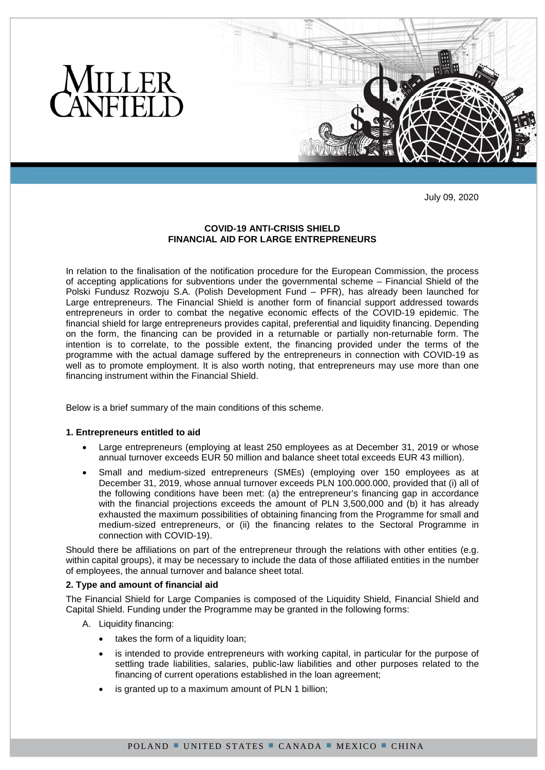

July 09, 2020

# **COVID-19 ANTI-CRISIS SHIELD FINANCIAL AID FOR LARGE ENTREPRENEURS**

In relation to the finalisation of the notification procedure for the European Commission, the process of accepting applications for subventions under the governmental scheme – Financial Shield of the Polski Fundusz Rozwoju S.A. (Polish Development Fund – PFR), has already been launched for Large entrepreneurs. The Financial Shield is another form of financial support addressed towards entrepreneurs in order to combat the negative economic effects of the COVID-19 epidemic. The financial shield for large entrepreneurs provides capital, preferential and liquidity financing. Depending on the form, the financing can be provided in a returnable or partially non-returnable form. The intention is to correlate, to the possible extent, the financing provided under the terms of the programme with the actual damage suffered by the entrepreneurs in connection with COVID-19 as well as to promote employment. It is also worth noting, that entrepreneurs may use more than one financing instrument within the Financial Shield.

Below is a brief summary of the main conditions of this scheme.

# **1. Entrepreneurs entitled to aid**

- Large entrepreneurs (employing at least 250 employees as at December 31, 2019 or whose annual turnover exceeds EUR 50 million and balance sheet total exceeds EUR 43 million).
- Small and medium-sized entrepreneurs (SMEs) (employing over 150 employees as at December 31, 2019, whose annual turnover exceeds PLN 100.000.000, provided that (i) all of the following conditions have been met: (a) the entrepreneur's financing gap in accordance with the financial projections exceeds the amount of PLN 3,500,000 and (b) it has already exhausted the maximum possibilities of obtaining financing from the Programme for small and medium-sized entrepreneurs, or (ii) the financing relates to the Sectoral Programme in connection with COVID-19).

Should there be affiliations on part of the entrepreneur through the relations with other entities (e.g. within capital groups), it may be necessary to include the data of those affiliated entities in the number of employees, the annual turnover and balance sheet total.

## **2. Type and amount of financial aid**

The Financial Shield for Large Companies is composed of the Liquidity Shield, Financial Shield and Capital Shield. Funding under the Programme may be granted in the following forms:

- A. Liquidity financing:
	- takes the form of a liquidity loan;
	- is intended to provide entrepreneurs with working capital, in particular for the purpose of settling trade liabilities, salaries, public-law liabilities and other purposes related to the financing of current operations established in the loan agreement;
	- is granted up to a maximum amount of PLN 1 billion;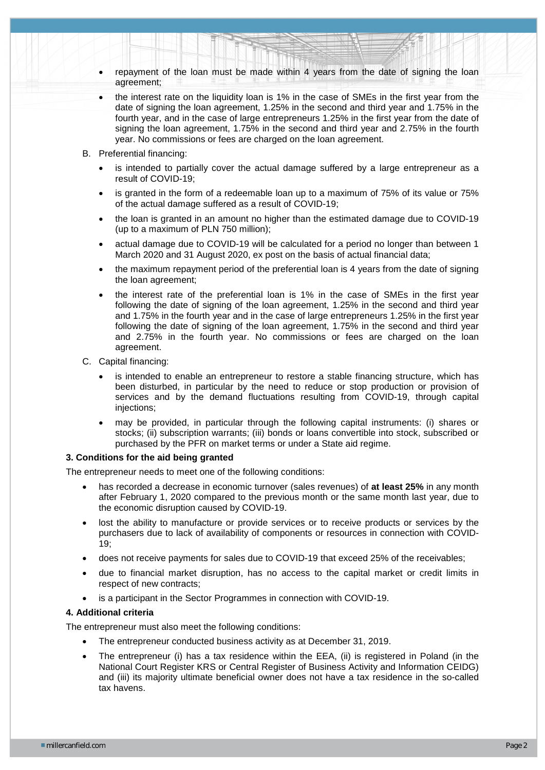- repayment of the loan must be made within 4 years from the date of signing the loan agreement;
- the interest rate on the liquidity loan is 1% in the case of SMEs in the first year from the date of signing the loan agreement, 1.25% in the second and third year and 1.75% in the fourth year, and in the case of large entrepreneurs 1.25% in the first year from the date of signing the loan agreement, 1.75% in the second and third year and 2.75% in the fourth year. No commissions or fees are charged on the loan agreement.
- B. Preferential financing:
	- is intended to partially cover the actual damage suffered by a large entrepreneur as a result of COVID-19;
	- is granted in the form of a redeemable loan up to a maximum of 75% of its value or 75% of the actual damage suffered as a result of COVID-19;
	- the loan is granted in an amount no higher than the estimated damage due to COVID-19 (up to a maximum of PLN 750 million);
	- actual damage due to COVID-19 will be calculated for a period no longer than between 1 March 2020 and 31 August 2020, ex post on the basis of actual financial data;
	- the maximum repayment period of the preferential loan is 4 years from the date of signing the loan agreement;
	- the interest rate of the preferential loan is 1% in the case of SMEs in the first year following the date of signing of the loan agreement, 1.25% in the second and third year and 1.75% in the fourth year and in the case of large entrepreneurs 1.25% in the first year following the date of signing of the loan agreement, 1.75% in the second and third year and 2.75% in the fourth year. No commissions or fees are charged on the loan agreement.
- C. Capital financing:
	- is intended to enable an entrepreneur to restore a stable financing structure, which has been disturbed, in particular by the need to reduce or stop production or provision of services and by the demand fluctuations resulting from COVID-19, through capital injections:
	- may be provided, in particular through the following capital instruments: (i) shares or stocks; (ii) subscription warrants; (iii) bonds or loans convertible into stock, subscribed or purchased by the PFR on market terms or under a State aid regime.

### **3. Conditions for the aid being granted**

The entrepreneur needs to meet one of the following conditions:

- has recorded a decrease in economic turnover (sales revenues) of **at least 25%** in any month after February 1, 2020 compared to the previous month or the same month last year, due to the economic disruption caused by COVID-19.
- lost the ability to manufacture or provide services or to receive products or services by the purchasers due to lack of availability of components or resources in connection with COVID-19;
- does not receive payments for sales due to COVID-19 that exceed 25% of the receivables;
- due to financial market disruption, has no access to the capital market or credit limits in respect of new contracts;
- is a participant in the Sector Programmes in connection with COVID-19.

### **4. Additional criteria**

The entrepreneur must also meet the following conditions:

- The entrepreneur conducted business activity as at December 31, 2019.
- The entrepreneur (i) has a tax residence within the EEA, (ii) is registered in Poland (in the National Court Register KRS or Central Register of Business Activity and Information CEIDG) and (iii) its majority ultimate beneficial owner does not have a tax residence in the so-called tax havens.